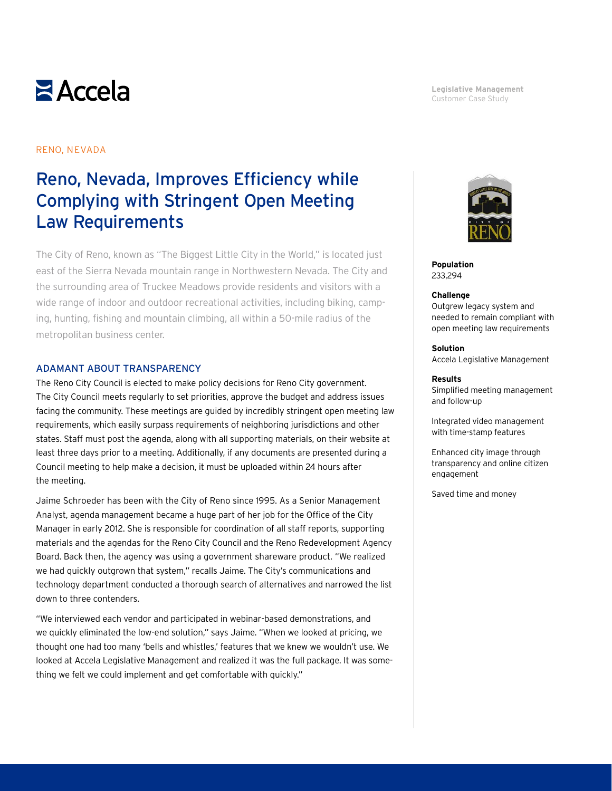# $\geq$  Accela

#### **Legislative Management** Customer Case Study

#### RENO, NEVADA

## Reno, Nevada, Improves Efficiency while Complying with Stringent Open Meeting Law Requirements

The City of Reno, known as "The Biggest Little City in the World," is located just east of the Sierra Nevada mountain range in Northwestern Nevada. The City and the surrounding area of Truckee Meadows provide residents and visitors with a wide range of indoor and outdoor recreational activities, including biking, camping, hunting, fishing and mountain climbing, all within a 50-mile radius of the metropolitan business center.

#### ADAMANT ABOUT TRANSPARENCY

The Reno City Council is elected to make policy decisions for Reno City government. The City Council meets regularly to set priorities, approve the budget and address issues facing the community. These meetings are guided by incredibly stringent open meeting law requirements, which easily surpass requirements of neighboring jurisdictions and other states. Staff must post the agenda, along with all supporting materials, on their website at least three days prior to a meeting. Additionally, if any documents are presented during a Council meeting to help make a decision, it must be uploaded within 24 hours after the meeting.

Jaime Schroeder has been with the City of Reno since 1995. As a Senior Management Analyst, agenda management became a huge part of her job for the Office of the City Manager in early 2012. She is responsible for coordination of all staff reports, supporting materials and the agendas for the Reno City Council and the Reno Redevelopment Agency Board. Back then, the agency was using a government shareware product. "We realized we had quickly outgrown that system," recalls Jaime. The City's communications and technology department conducted a thorough search of alternatives and narrowed the list down to three contenders.

"We interviewed each vendor and participated in webinar-based demonstrations, and we quickly eliminated the low-end solution," says Jaime. "When we looked at pricing, we thought one had too many 'bells and whistles,' features that we knew we wouldn't use. We looked at Accela Legislative Management and realized it was the full package. It was something we felt we could implement and get comfortable with quickly."



**Population** 233,294

#### **Challenge**

Outgrew legacy system and needed to remain compliant with open meeting law requirements

#### **Solution**

Accela Legislative Management

#### **Results**

Simplified meeting management and follow-up

Integrated video management with time-stamp features

Enhanced city image through transparency and online citizen engagement

Saved time and money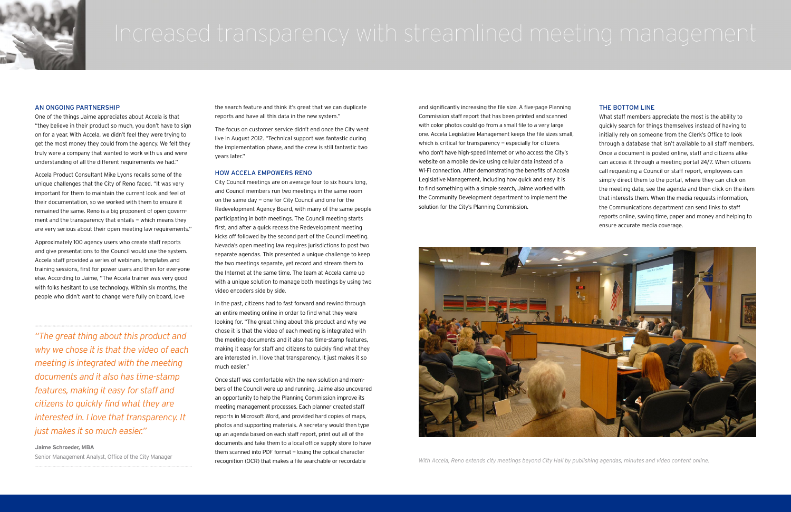

#### AN ONGOING PARTNERSHIP

One of the things Jaime appreciates about Accela is that "they believe in their product so much, you don't have to sign on for a year. With Accela, we didn't feel they were trying to get the most money they could from the agency. We felt they truly were a company that wanted to work with us and were understanding of all the different requirements we had."

Accela Product Consultant Mike Lyons recalls some of the unique challenges that the City of Reno faced. "It was very important for them to maintain the current look and feel of their documentation, so we worked with them to ensure it remained the same. Reno is a big proponent of open government and the transparency that entails  $-$  which means they are very serious about their open meeting law requirements."

Approximately 100 agency users who create staff reports and give presentations to the Council would use the system. Accela staff provided a series of webinars, templates and training sessions, first for power users and then for everyone else. According to Jaime, "The Accela trainer was very good with folks hesitant to use technology. Within six months, the people who didn't want to change were fully on board, love

the search feature and think it's great that we can duplicate reports and have all this data in the new system."

Once staff was comfortable with the new solution and members of the Council were up and running, Jaime also uncovered an opportunity to help the Planning Commission improve its meeting management processes. Each planner created staff reports in Microsoft Word, and provided hard copies of maps, photos and supporting materials. A secretary would then type up an agenda based on each staff report, print out all of the documents and take them to a local office supply store to have them scanned into PDF format — losing the optical character recognition (OCR) that makes a file searchable or recordable Senior Management Analyst, Office of the City Manager *With Accela, Reno extends city meetings beyond City Hall by publishing agendas, minutes and video content online.* 

The focus on customer service didn't end once the City went live in August 2012. "Technical support was fantastic during the implementation phase, and the crew is still fantastic two years later."

#### HOW ACCELA EMPOWERS RENO

City Council meetings are on average four to six hours long, and Council members run two meetings in the same room on the same day — one for City Council and one for the Redevelopment Agency Board, with many of the same people participating in both meetings. The Council meeting starts first, and after a quick recess the Redevelopment meeting kicks off followed by the second part of the Council meeting. Nevada's open meeting law requires jurisdictions to post two separate agendas. This presented a unique challenge to keep the two meetings separate, yet record and stream them to the Internet at the same time. The team at Accela came up with a unique solution to manage both meetings by using two video encoders side by side.

In the past, citizens had to fast forward and rewind through an entire meeting online in order to find what they were looking for. "The great thing about this product and why we chose it is that the video of each meeting is integrated with the meeting documents and it also has time-stamp features, making it easy for staff and citizens to quickly find what they are interested in. I love that transparency. It just makes it so much easier."

and significantly increasing the file size. A five-page Planning Commission staff report that has been printed and scanned with color photos could go from a small file to a very large one. Accela Legislative Management keeps the file sizes small, which is critical for transparency  $-$  especially for citizens who don't have high-speed Internet or who access the City's website on a mobile device using cellular data instead of a Wi-Fi connection. After demonstrating the benefits of Accela Legislative Management, including how quick and easy it is to find something with a simple search, Jaime worked with the Community Development department to implement the solution for the City's Planning Commission.



### THE BOTTOM LINE

What staff members appreciate the most is the ability to quickly search for things themselves instead of having to initially rely on someone from the Clerk's Office to look through a database that isn't available to all staff members. Once a document is posted online, staff and citizens alike can access it through a meeting portal 24/7. When citizens call requesting a Council or staff report, employees can simply direct them to the portal, where they can click on the meeting date, see the agenda and then click on the item that interests them. When the media requests information, the Communications department can send links to staff reports online, saving time, paper and money and helping to ensure accurate media coverage.

*"The great thing about this product and why we chose it is that the video of each meeting is integrated with the meeting documents and it also has time-stamp features, making it easy for staff and citizens to quickly find what they are interested in. I love that transparency. It just makes it so much easier."*

**Jaime Schroeder, MBA**